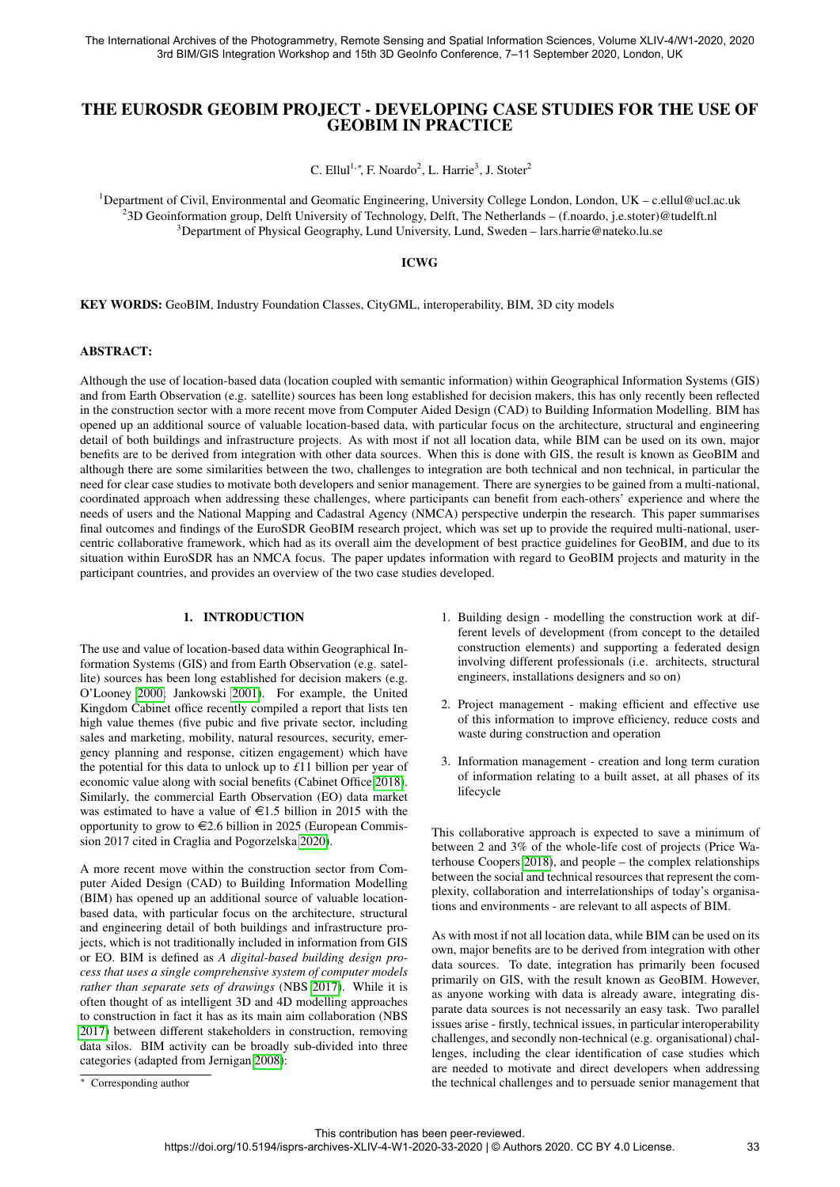# THE EUROSDR GEOBIM PROJECT - DEVELOPING CASE STUDIES FOR THE USE OF GEOBIM IN PRACTICE

C. Ellul<sup>1,</sup>\*, F. Noardo<sup>2</sup>, L. Harrie<sup>3</sup>, J. Stoter<sup>2</sup>

<sup>1</sup>Department of Civil, Environmental and Geomatic Engineering, University College London, London, UK – c.ellul@ucl.ac.uk 2 3D Geoinformation group, Delft University of Technology, Delft, The Netherlands – (f.noardo, j.e.stoter)@tudelft.nl <sup>3</sup>Department of Physical Geography, Lund University, Lund, Sweden – lars.harrie@nateko.lu.se

### ICWG

KEY WORDS: GeoBIM, Industry Foundation Classes, CityGML, interoperability, BIM, 3D city models

### ABSTRACT:

Although the use of location-based data (location coupled with semantic information) within Geographical Information Systems (GIS) and from Earth Observation (e.g. satellite) sources has been long established for decision makers, this has only recently been reflected in the construction sector with a more recent move from Computer Aided Design (CAD) to Building Information Modelling. BIM has opened up an additional source of valuable location-based data, with particular focus on the architecture, structural and engineering detail of both buildings and infrastructure projects. As with most if not all location data, while BIM can be used on its own, major benefits are to be derived from integration with other data sources. When this is done with GIS, the result is known as GeoBIM and although there are some similarities between the two, challenges to integration are both technical and non technical, in particular the need for clear case studies to motivate both developers and senior management. There are synergies to be gained from a multi-national, coordinated approach when addressing these challenges, where participants can benefit from each-others' experience and where the needs of users and the National Mapping and Cadastral Agency (NMCA) perspective underpin the research. This paper summarises final outcomes and findings of the EuroSDR GeoBIM research project, which was set up to provide the required multi-national, usercentric collaborative framework, which had as its overall aim the development of best practice guidelines for GeoBIM, and due to its situation within EuroSDR has an NMCA focus. The paper updates information with regard to GeoBIM projects and maturity in the participant countries, and provides an overview of the two case studies developed.

### 1. INTRODUCTION

The use and value of location-based data within Geographical Information Systems (GIS) and from Earth Observation (e.g. satellite) sources has been long established for decision makers (e.g. O'Looney [2000;](#page-7-0) Jankowski [2001\)](#page-6-0). For example, the United Kingdom Cabinet office recently compiled a report that lists ten high value themes (five pubic and five private sector, including sales and marketing, mobility, natural resources, security, emergency planning and response, citizen engagement) which have the potential for this data to unlock up to *£*11 billion per year of economic value along with social benefits (Cabinet Office [2018\)](#page-6-1). Similarly, the commercial Earth Observation (EO) data market was estimated to have a value of  $\epsilon$ 1.5 billion in 2015 with the opportunity to grow to  $\in 2.6$  billion in 2025 (European Commission 2017 cited in Craglia and Pogorzelska [2020\)](#page-6-2).

A more recent move within the construction sector from Computer Aided Design (CAD) to Building Information Modelling (BIM) has opened up an additional source of valuable locationbased data, with particular focus on the architecture, structural and engineering detail of both buildings and infrastructure projects, which is not traditionally included in information from GIS or EO. BIM is defined as *A digital-based building design process that uses a single comprehensive system of computer models rather than separate sets of drawings* (NBS [2017\)](#page-6-3). While it is often thought of as intelligent 3D and 4D modelling approaches to construction in fact it has as its main aim collaboration (NBS [2017\)](#page-6-3) between different stakeholders in construction, removing data silos. BIM activity can be broadly sub-divided into three categories (adapted from Jernigan [2008\)](#page-6-4):

- 2. Project management making efficient and effective use of this information to improve efficiency, reduce costs and waste during construction and operation
- 3. Information management creation and long term curation of information relating to a built asset, at all phases of its lifecycle

This collaborative approach is expected to save a minimum of between 2 and 3% of the whole-life cost of projects (Price Waterhouse Coopers [2018\)](#page-7-1), and people – the complex relationships between the social and technical resources that represent the complexity, collaboration and interrelationships of today's organisations and environments - are relevant to all aspects of BIM.

As with most if not all location data, while BIM can be used on its own, major benefits are to be derived from integration with other data sources. To date, integration has primarily been focused primarily on GIS, with the result known as GeoBIM. However, as anyone working with data is already aware, integrating disparate data sources is not necessarily an easy task. Two parallel issues arise - firstly, technical issues, in particular interoperability challenges, and secondly non-technical (e.g. organisational) challenges, including the clear identification of case studies which are needed to motivate and direct developers when addressing the technical challenges and to persuade senior management that

<sup>1.</sup> Building design - modelling the construction work at different levels of development (from concept to the detailed construction elements) and supporting a federated design involving different professionals (i.e. architects, structural engineers, installations designers and so on)

<sup>∗</sup> Corresponding author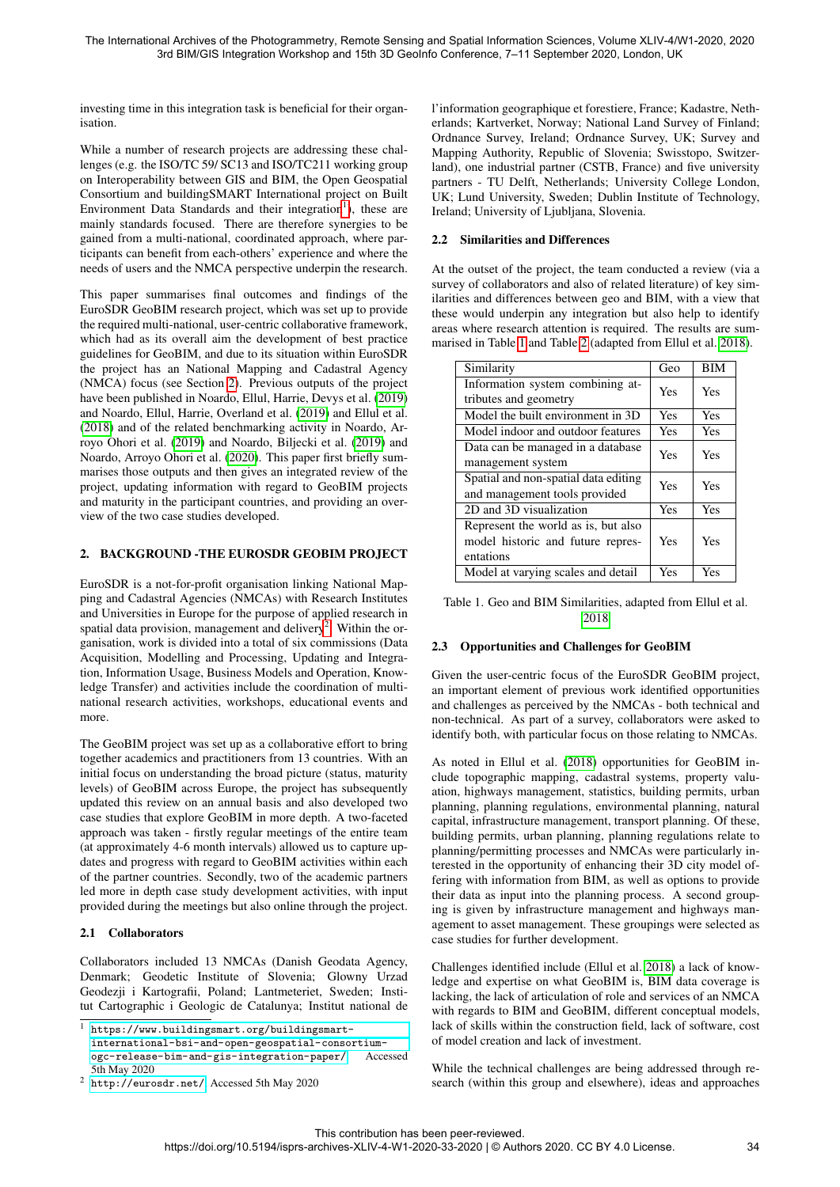investing time in this integration task is beneficial for their organisation.

While a number of research projects are addressing these challenges (e.g. the ISO/TC 59/ SC13 and ISO/TC211 working group on Interoperability between GIS and BIM, the Open Geospatial Consortium and buildingSMART International project on Built Environment Data Standards and their integration<sup>[1](#page-1-0)</sup>), these are mainly standards focused. There are therefore synergies to be gained from a multi-national, coordinated approach, where participants can benefit from each-others' experience and where the needs of users and the NMCA perspective underpin the research.

This paper summarises final outcomes and findings of the EuroSDR GeoBIM research project, which was set up to provide the required multi-national, user-centric collaborative framework, which had as its overall aim the development of best practice guidelines for GeoBIM, and due to its situation within EuroSDR the project has an National Mapping and Cadastral Agency (NMCA) focus (see Section [2\)](#page-1-1). Previous outputs of the project have been published in Noardo, Ellul, Harrie, Devys et al. [\(2019\)](#page-6-5) and Noardo, Ellul, Harrie, Overland et al. [\(2019\)](#page-7-2) and Ellul et al. [\(2018\)](#page-6-6) and of the related benchmarking activity in Noardo, Arroyo Ohori et al. [\(2019\)](#page-7-3) and Noardo, Biljecki et al. [\(2019\)](#page-7-4) and Noardo, Arroyo Ohori et al. [\(2020\)](#page-6-7). This paper first briefly summarises those outputs and then gives an integrated review of the project, updating information with regard to GeoBIM projects and maturity in the participant countries, and providing an overview of the two case studies developed.

### <span id="page-1-1"></span>2. BACKGROUND -THE EUROSDR GEOBIM PROJECT

EuroSDR is a not-for-profit organisation linking National Mapping and Cadastral Agencies (NMCAs) with Research Institutes and Universities in Europe for the purpose of applied research in spatial data provision, management and delivery<sup>[2](#page-1-2)</sup>. Within the organisation, work is divided into a total of six commissions (Data Acquisition, Modelling and Processing, Updating and Integration, Information Usage, Business Models and Operation, Knowledge Transfer) and activities include the coordination of multinational research activities, workshops, educational events and more.

The GeoBIM project was set up as a collaborative effort to bring together academics and practitioners from 13 countries. With an initial focus on understanding the broad picture (status, maturity levels) of GeoBIM across Europe, the project has subsequently updated this review on an annual basis and also developed two case studies that explore GeoBIM in more depth. A two-faceted approach was taken - firstly regular meetings of the entire team (at approximately 4-6 month intervals) allowed us to capture updates and progress with regard to GeoBIM activities within each of the partner countries. Secondly, two of the academic partners led more in depth case study development activities, with input provided during the meetings but also online through the project.

## 2.1 Collaborators

Collaborators included 13 NMCAs (Danish Geodata Agency, Denmark; Geodetic Institute of Slovenia; Glowny Urzad Geodezji i Kartografii, Poland; Lantmeteriet, Sweden; Institut Cartographic i Geologic de Catalunya; Institut national de l'information geographique et forestiere, France; Kadastre, Netherlands; Kartverket, Norway; National Land Survey of Finland; Ordnance Survey, Ireland; Ordnance Survey, UK; Survey and Mapping Authority, Republic of Slovenia; Swisstopo, Switzerland), one industrial partner (CSTB, France) and five university partners - TU Delft, Netherlands; University College London, UK; Lund University, Sweden; Dublin Institute of Technology, Ireland; University of Ljubljana, Slovenia.

### 2.2 Similarities and Differences

At the outset of the project, the team conducted a review (via a survey of collaborators and also of related literature) of key similarities and differences between geo and BIM, with a view that these would underpin any integration but also help to identify areas where research attention is required. The results are summarised in Table [1](#page-1-3) and Table [2](#page-2-0) (adapted from Ellul et al. [2018\)](#page-6-6).

<span id="page-1-3"></span>

| Similarity                           | Geo        | <b>BIM</b> |
|--------------------------------------|------------|------------|
| Information system combining at-     | <b>Yes</b> | Yes        |
| tributes and geometry                |            |            |
| Model the built environment in 3D    | <b>Yes</b> | <b>Yes</b> |
| Model indoor and outdoor features    | Yes        | Yes        |
| Data can be managed in a database    | <b>Yes</b> | Yes        |
| management system                    |            |            |
| Spatial and non-spatial data editing | <b>Yes</b> | Yes        |
| and management tools provided        |            |            |
| 2D and 3D visualization              | Yes        | Yes        |
| Represent the world as is, but also  |            |            |
| model historic and future repres-    | Yes        | Yes        |
| entations                            |            |            |
| Model at varying scales and detail   | Yes        | Yes        |

Table 1. Geo and BIM Similarities, adapted from Ellul et al. [2018](#page-6-6)

### <span id="page-1-4"></span>2.3 Opportunities and Challenges for GeoBIM

Given the user-centric focus of the EuroSDR GeoBIM project, an important element of previous work identified opportunities and challenges as perceived by the NMCAs - both technical and non-technical. As part of a survey, collaborators were asked to identify both, with particular focus on those relating to NMCAs.

As noted in Ellul et al. [\(2018\)](#page-6-6) opportunities for GeoBIM include topographic mapping, cadastral systems, property valuation, highways management, statistics, building permits, urban planning, planning regulations, environmental planning, natural capital, infrastructure management, transport planning. Of these, building permits, urban planning, planning regulations relate to planning/permitting processes and NMCAs were particularly interested in the opportunity of enhancing their 3D city model offering with information from BIM, as well as options to provide their data as input into the planning process. A second grouping is given by infrastructure management and highways management to asset management. These groupings were selected as case studies for further development.

Challenges identified include (Ellul et al. [2018\)](#page-6-6) a lack of knowledge and expertise on what GeoBIM is, BIM data coverage is lacking, the lack of articulation of role and services of an NMCA with regards to BIM and GeoBIM, different conceptual models, lack of skills within the construction field, lack of software, cost of model creation and lack of investment.

While the technical challenges are being addressed through research (within this group and elsewhere), ideas and approaches

<span id="page-1-0"></span> $^{\rm l}$ [https://www.buildingsmart.org/buildingsmart-](https://www.buildingsmart.org/buildingsmart-international-bsi-and-open-geospatial-consortium-ogc-release-bim-and-gis-integration-paper/)

[international-bsi-and-open-geospatial-consortium](https://www.buildingsmart.org/buildingsmart-international-bsi-and-open-geospatial-consortium-ogc-release-bim-and-gis-integration-paper/)[ogc-release-bim-and-gis-integration-paper/](https://www.buildingsmart.org/buildingsmart-international-bsi-and-open-geospatial-consortium-ogc-release-bim-and-gis-integration-paper/), Accessed 5th May 2020

<span id="page-1-2"></span><sup>2</sup> <http://eurosdr.net/>, Accessed 5th May 2020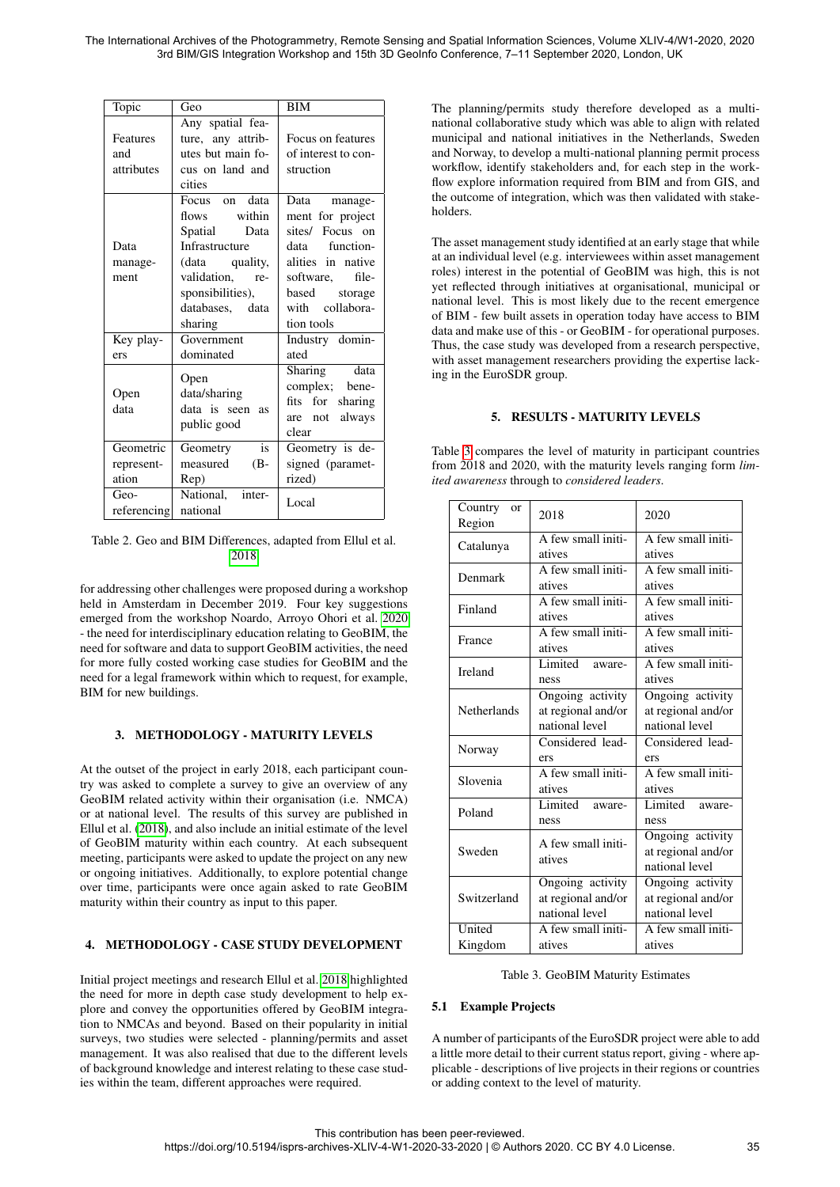<span id="page-2-0"></span>

| Topic                            | Geo                                                                                                                                                       | <b>BIM</b>                                                                                                                                                      |
|----------------------------------|-----------------------------------------------------------------------------------------------------------------------------------------------------------|-----------------------------------------------------------------------------------------------------------------------------------------------------------------|
| Features<br>and<br>attributes    | Any spatial fea-<br>ture, any attrib-<br>utes but main fo-<br>cus on land and<br>cities                                                                   | Focus on features<br>of interest to con-<br>struction                                                                                                           |
| Data<br>manage-<br>ment          | Focus on data<br>flows within<br>Spatial<br>Data<br>Infrastructure<br>(data quality,<br>validation, re-<br>sponsibilities),<br>databases, data<br>sharing | Data manage-<br>ment for project<br>sites/ Focus on<br>data function-<br>alities in native<br>software, file-<br>based storage<br>with collabora-<br>tion tools |
| Key play-<br>ers                 | Government<br>dominated                                                                                                                                   | Industry domin-<br>ated                                                                                                                                         |
| Open<br>data                     | Open<br>data/sharing<br>data is seen as<br>public good                                                                                                    | Sharing data<br>complex; bene-<br>fits for<br>sharing<br>are not always<br>clear                                                                                |
| Geometric<br>represent-<br>ation | is<br>Geometry<br>measured (B-<br>Rep)                                                                                                                    | Geometry is de-<br>signed (paramet-<br>rized)                                                                                                                   |
| Geo-<br>referencing              | National, inter-<br>national                                                                                                                              | Local                                                                                                                                                           |

Table 2. Geo and BIM Differences, adapted from Ellul et al. [2018](#page-6-6)

for addressing other challenges were proposed during a workshop held in Amsterdam in December 2019. Four key suggestions emerged from the workshop Noardo, Arroyo Ohori et al. [2020](#page-6-7) - the need for interdisciplinary education relating to GeoBIM, the need for software and data to support GeoBIM activities, the need for more fully costed working case studies for GeoBIM and the need for a legal framework within which to request, for example, BIM for new buildings.

## 3. METHODOLOGY - MATURITY LEVELS

At the outset of the project in early 2018, each participant country was asked to complete a survey to give an overview of any GeoBIM related activity within their organisation (i.e. NMCA) or at national level. The results of this survey are published in Ellul et al. [\(2018\)](#page-6-6), and also include an initial estimate of the level of GeoBIM maturity within each country. At each subsequent meeting, participants were asked to update the project on any new or ongoing initiatives. Additionally, to explore potential change over time, participants were once again asked to rate GeoBIM maturity within their country as input to this paper.

## 4. METHODOLOGY - CASE STUDY DEVELOPMENT

Initial project meetings and research Ellul et al. [2018](#page-6-6) highlighted the need for more in depth case study development to help explore and convey the opportunities offered by GeoBIM integration to NMCAs and beyond. Based on their popularity in initial surveys, two studies were selected - planning/permits and asset management. It was also realised that due to the different levels of background knowledge and interest relating to these case studies within the team, different approaches were required.

The planning/permits study therefore developed as a multinational collaborative study which was able to align with related municipal and national initiatives in the Netherlands, Sweden and Norway, to develop a multi-national planning permit process workflow, identify stakeholders and, for each step in the workflow explore information required from BIM and from GIS, and the outcome of integration, which was then validated with stakeholders.

The asset management study identified at an early stage that while at an individual level (e.g. interviewees within asset management roles) interest in the potential of GeoBIM was high, this is not yet reflected through initiatives at organisational, municipal or national level. This is most likely due to the recent emergence of BIM - few built assets in operation today have access to BIM data and make use of this - or GeoBIM - for operational purposes. Thus, the case study was developed from a research perspective, with asset management researchers providing the expertise lacking in the EuroSDR group.

## 5. RESULTS - MATURITY LEVELS

<span id="page-2-2"></span>Table [3](#page-2-1) compares the level of maturity in participant countries from 2018 and 2020, with the maturity levels ranging form *limited awareness* through to *considered leaders*.

<span id="page-2-1"></span>

| Country<br><sub>or</sub><br>Region      | 2018                                                     | 2020                                                     |
|-----------------------------------------|----------------------------------------------------------|----------------------------------------------------------|
| Catalunya                               | A few small initi-<br>atives                             | A few small initi-<br>atives                             |
| Denmark                                 | A few small initi-<br>atives                             | A few small initi-<br>atives                             |
| A few small initi-<br>Finland<br>atives |                                                          | A few small initi-<br>atives                             |
| France                                  | A few small initi-<br>atives                             | A few small initi-<br>atives                             |
| Ireland                                 | Limited<br>aware-<br>ness                                | A few small initi-<br>atives                             |
| <b>Netherlands</b>                      | Ongoing activity<br>at regional and/or<br>national level | Ongoing activity<br>at regional and/or<br>national level |
| Norway                                  | Considered lead-<br>ers                                  | Considered lead-<br>ers                                  |
| Slovenia                                | A few small initi-<br>atives                             | A few small initi-<br>atives                             |
| Poland                                  | Limited<br>aware-<br>ness                                | Limited<br>aware-<br>ness                                |
| Sweden                                  | A few small initi-<br>atives                             | Ongoing activity<br>at regional and/or<br>national level |
| Switzerland                             | Ongoing activity<br>at regional and/or<br>national level | Ongoing activity<br>at regional and/or<br>national level |
| United<br>Kingdom                       | A few small initi-<br>atives                             | A few small initi-<br>atives                             |

Table 3. GeoBIM Maturity Estimates

## 5.1 Example Projects

A number of participants of the EuroSDR project were able to add a little more detail to their current status report, giving - where applicable - descriptions of live projects in their regions or countries or adding context to the level of maturity.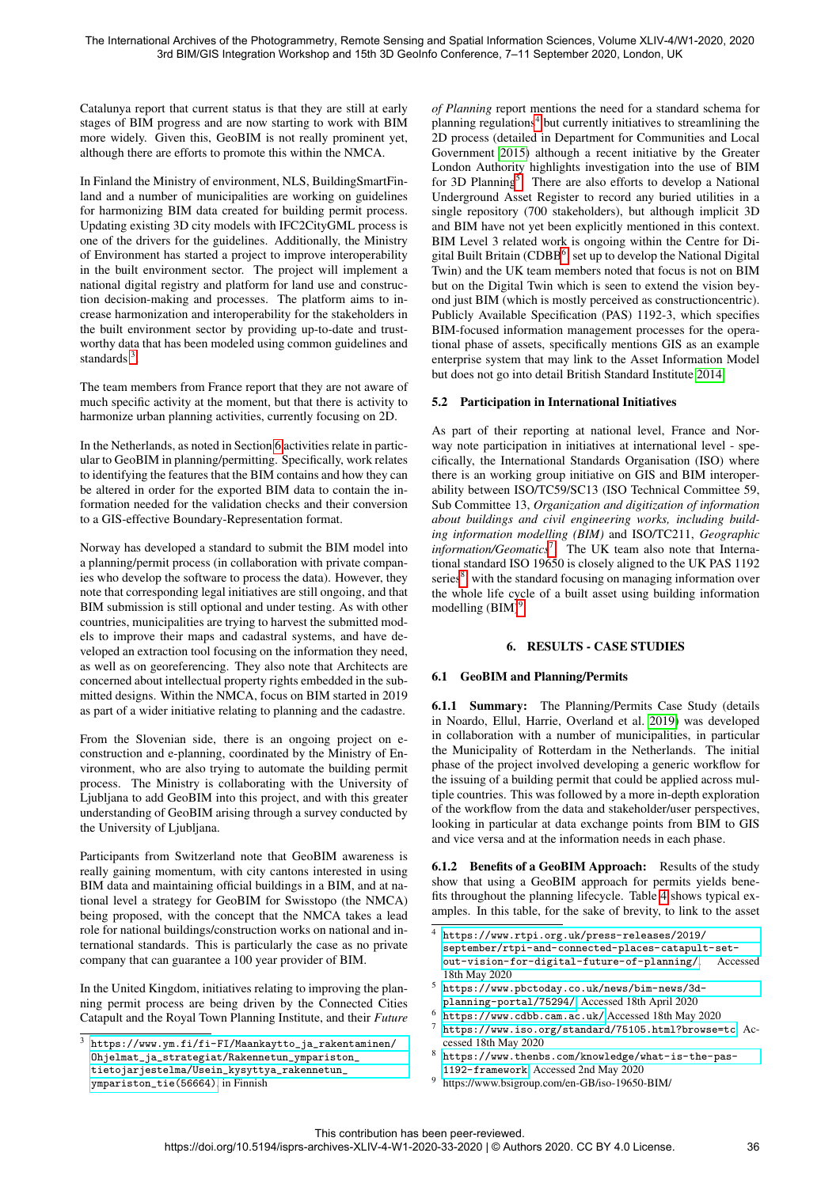Catalunya report that current status is that they are still at early stages of BIM progress and are now starting to work with BIM more widely. Given this, GeoBIM is not really prominent yet, although there are efforts to promote this within the NMCA.

In Finland the Ministry of environment, NLS, BuildingSmartFinland and a number of municipalities are working on guidelines for harmonizing BIM data created for building permit process. Updating existing 3D city models with IFC2CityGML process is one of the drivers for the guidelines. Additionally, the Ministry of Environment has started a project to improve interoperability in the built environment sector. The project will implement a national digital registry and platform for land use and construction decision-making and processes. The platform aims to increase harmonization and interoperability for the stakeholders in the built environment sector by providing up-to-date and trustworthy data that has been modeled using common guidelines and standards<sup>[3](#page-3-0)</sup>.

The team members from France report that they are not aware of much specific activity at the moment, but that there is activity to harmonize urban planning activities, currently focusing on 2D.

In the Netherlands, as noted in Section [6](#page-3-1) activities relate in particular to GeoBIM in planning/permitting. Specifically, work relates to identifying the features that the BIM contains and how they can be altered in order for the exported BIM data to contain the information needed for the validation checks and their conversion to a GIS-effective Boundary-Representation format.

Norway has developed a standard to submit the BIM model into a planning/permit process (in collaboration with private companies who develop the software to process the data). However, they note that corresponding legal initiatives are still ongoing, and that BIM submission is still optional and under testing. As with other countries, municipalities are trying to harvest the submitted models to improve their maps and cadastral systems, and have developed an extraction tool focusing on the information they need, as well as on georeferencing. They also note that Architects are concerned about intellectual property rights embedded in the submitted designs. Within the NMCA, focus on BIM started in 2019 as part of a wider initiative relating to planning and the cadastre.

From the Slovenian side, there is an ongoing project on econstruction and e-planning, coordinated by the Ministry of Environment, who are also trying to automate the building permit process. The Ministry is collaborating with the University of Ljubljana to add GeoBIM into this project, and with this greater understanding of GeoBIM arising through a survey conducted by the University of Ljubljana.

Participants from Switzerland note that GeoBIM awareness is really gaining momentum, with city cantons interested in using BIM data and maintaining official buildings in a BIM, and at national level a strategy for GeoBIM for Swisstopo (the NMCA) being proposed, with the concept that the NMCA takes a lead role for national buildings/construction works on national and international standards. This is particularly the case as no private company that can guarantee a 100 year provider of BIM.

In the United Kingdom, initiatives relating to improving the planning permit process are being driven by the Connected Cities Catapult and the Royal Town Planning Institute, and their *Future* *of Planning* report mentions the need for a standard schema for planning regulations<sup>[4](#page-3-2)</sup> but currently initiatives to streamlining the 2D process (detailed in Department for Communities and Local Government [2015\)](#page-6-8) although a recent initiative by the Greater London Authority highlights investigation into the use of BIM for 3D Planning<sup>[5](#page-3-3)</sup>. There are also efforts to develop a National Underground Asset Register to record any buried utilities in a single repository (700 stakeholders), but although implicit 3D and BIM have not yet been explicitly mentioned in this context. BIM Level 3 related work is ongoing within the Centre for Di-gital Built Britain (CDBB<sup>[6](#page-3-4)</sup>, set up to develop the National Digital Twin) and the UK team members noted that focus is not on BIM but on the Digital Twin which is seen to extend the vision beyond just BIM (which is mostly perceived as constructioncentric). Publicly Available Specification (PAS) 1192-3, which specifies BIM-focused information management processes for the operational phase of assets, specifically mentions GIS as an example enterprise system that may link to the Asset Information Model but does not go into detail British Standard Institute [2014.](#page-6-9)

## 5.2 Participation in International Initiatives

As part of their reporting at national level, France and Norway note participation in initiatives at international level - specifically, the International Standards Organisation (ISO) where there is an working group initiative on GIS and BIM interoperability between ISO/TC59/SC13 (ISO Technical Committee 59, Sub Committee 13, *Organization and digitization of information about buildings and civil engineering works, including building information modelling (BIM)* and ISO/TC211, *Geographic information/Geomatics*[7](#page-3-5) . The UK team also note that International standard ISO 19650 is closely aligned to the UK PAS 1192 series<sup>[8](#page-3-6)</sup>, with the standard focusing on managing information over the whole life cycle of a built asset using building information modelling  $(BIM)^9$  $(BIM)^9$ .

## 6. RESULTS - CASE STUDIES

## <span id="page-3-1"></span>6.1 GeoBIM and Planning/Permits

6.1.1 Summary: The Planning/Permits Case Study (details in Noardo, Ellul, Harrie, Overland et al. [2019\)](#page-7-2) was developed in collaboration with a number of municipalities, in particular the Municipality of Rotterdam in the Netherlands. The initial phase of the project involved developing a generic workflow for the issuing of a building permit that could be applied across multiple countries. This was followed by a more in-depth exploration of the workflow from the data and stakeholder/user perspectives, looking in particular at data exchange points from BIM to GIS and vice versa and at the information needs in each phase.

6.1.2 Benefits of a GeoBIM Approach: Results of the study show that using a GeoBIM approach for permits yields benefits throughout the planning lifecycle. Table [4](#page-4-0) shows typical examples. In this table, for the sake of brevity, to link to the asset

- <span id="page-3-3"></span><sup>5</sup> [https://www.pbctoday.co.uk/news/bim-news/3d](https://www.pbctoday.co.uk/news/bim-news/3d-planning-portal/75294/)[planning-portal/75294/](https://www.pbctoday.co.uk/news/bim-news/3d-planning-portal/75294/), Accessed 18th April 2020
- <span id="page-3-4"></span><sup>6</sup> <https://www.cdbb.cam.ac.uk/>,Accessed 18th May 2020
- <span id="page-3-5"></span><https://www.iso.org/standard/75105.html?browse=tc>. Accessed 18th May 2020
- <span id="page-3-6"></span><sup>8</sup> [https://www.thenbs.com/knowledge/what-is-the-pas-](https://www.thenbs.com/knowledge/what-is-the-pas-1192-framework)[1192-framework](https://www.thenbs.com/knowledge/what-is-the-pas-1192-framework), Accessed 2nd May 2020
- <span id="page-3-7"></span><sup>9</sup> https://www.bsigroup.com/en-GB/iso-19650-BIM/

<span id="page-3-0"></span><sup>3</sup> [https://www.ym.fi/fi-FI/Maankaytto\\_ja\\_rakentaminen/](https://www.ym.fi/fi-FI/Maankaytto_ja_rakentaminen/Ohjelmat_ja_strategiat/Rakennetun_ympariston_tietojarjestelma/Usein_kysyttya_rakennetun_ympariston_tie(56664)) [Ohjelmat\\_ja\\_strategiat/Rakennetun\\_ympariston\\_](https://www.ym.fi/fi-FI/Maankaytto_ja_rakentaminen/Ohjelmat_ja_strategiat/Rakennetun_ympariston_tietojarjestelma/Usein_kysyttya_rakennetun_ympariston_tie(56664)) [tietojarjestelma/Usein\\_kysyttya\\_rakennetun\\_](https://www.ym.fi/fi-FI/Maankaytto_ja_rakentaminen/Ohjelmat_ja_strategiat/Rakennetun_ympariston_tietojarjestelma/Usein_kysyttya_rakennetun_ympariston_tie(56664)) [ympariston\\_tie\(56664\)](https://www.ym.fi/fi-FI/Maankaytto_ja_rakentaminen/Ohjelmat_ja_strategiat/Rakennetun_ympariston_tietojarjestelma/Usein_kysyttya_rakennetun_ympariston_tie(56664)), in Finnish

<span id="page-3-2"></span><sup>4</sup> [https://www.rtpi.org.uk/press-releases/2019/](https://www.rtpi.org.uk/press-releases/2019/september/rtpi-and-connected-places-catapult-set-out-vision-for-digital-future-of-planning/) [september/rtpi-and-connected-places-catapult-set](https://www.rtpi.org.uk/press-releases/2019/september/rtpi-and-connected-places-catapult-set-out-vision-for-digital-future-of-planning/)[out-vision-for-digital-future-of-planning/](https://www.rtpi.org.uk/press-releases/2019/september/rtpi-and-connected-places-catapult-set-out-vision-for-digital-future-of-planning/), Accessed 18th May 2020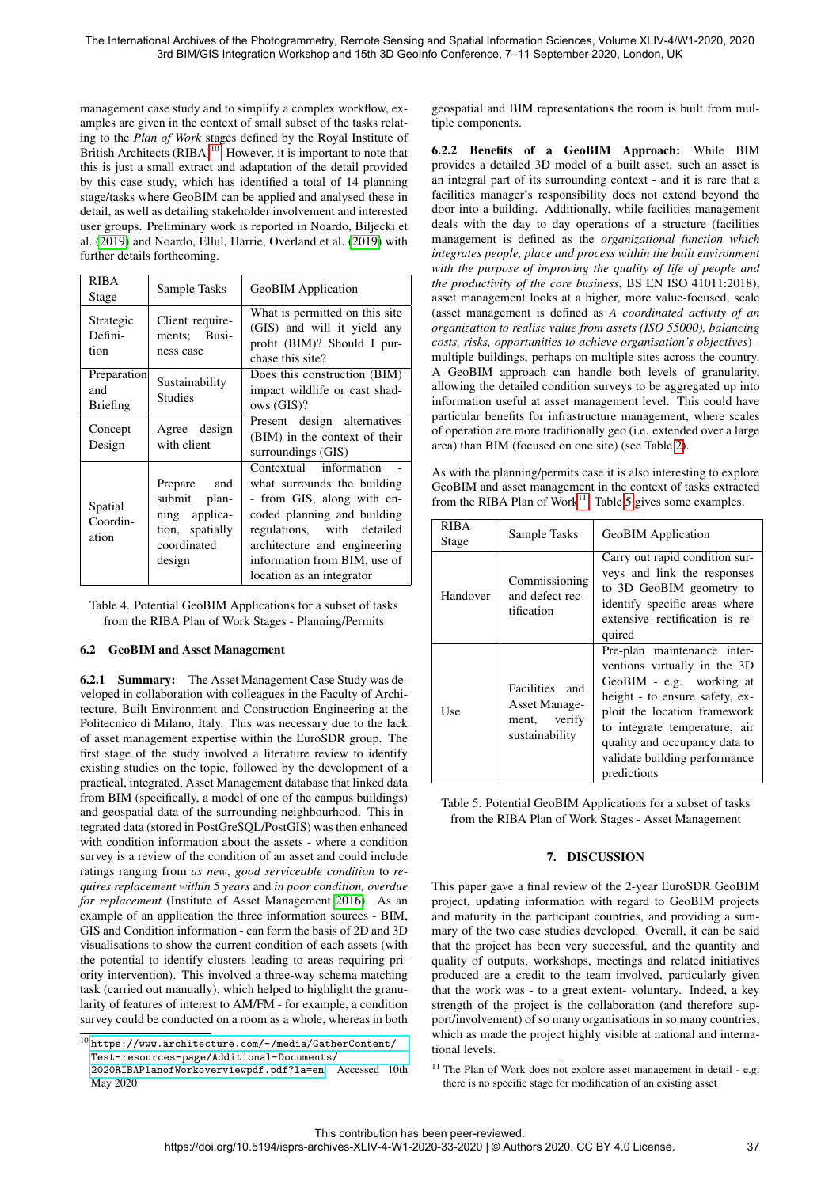management case study and to simplify a complex workflow, examples are given in the context of small subset of the tasks relating to the *Plan of Work* stages defined by the Royal Institute of British Architects (RIBA)<sup>[10](#page-4-1)</sup>. However, it is important to note that this is just a small extract and adaptation of the detail provided by this case study, which has identified a total of 14 planning stage/tasks where GeoBIM can be applied and analysed these in detail, as well as detailing stakeholder involvement and interested user groups. Preliminary work is reported in Noardo, Biljecki et al. [\(2019\)](#page-7-4) and Noardo, Ellul, Harrie, Overland et al. [\(2019\)](#page-7-2) with further details forthcoming.

<span id="page-4-0"></span>

| <b>RIBA</b><br>Stage                  | Sample Tasks                                                                                | GeoBIM Application                                                                                                                                                                                                                            |
|---------------------------------------|---------------------------------------------------------------------------------------------|-----------------------------------------------------------------------------------------------------------------------------------------------------------------------------------------------------------------------------------------------|
| Strategic<br>Defini-<br>tion          | Client require-<br>ments; Busi-<br>ness case                                                | What is permitted on this site<br>(GIS) and will it yield any<br>profit (BIM)? Should I pur-<br>chase this site?                                                                                                                              |
| Preparation<br>and<br><b>Briefing</b> | Sustainability<br>Studies                                                                   | Does this construction (BIM)<br>impact wildlife or cast shad-<br>ows (GIS)?                                                                                                                                                                   |
| Concept<br>Design                     | Agree design<br>with client                                                                 | Present design alternatives<br>(BIM) in the context of their<br>surroundings (GIS)                                                                                                                                                            |
| Spatial<br>Coordin-<br>ation          | and<br>Prepare<br>submit plan-<br>ning applica-<br>tion, spatially<br>coordinated<br>design | Contextual information<br>what surrounds the building<br>- from GIS, along with en-<br>coded planning and building<br>regulations, with detailed<br>architecture and engineering<br>information from BIM, use of<br>location as an integrator |

Table 4. Potential GeoBIM Applications for a subset of tasks from the RIBA Plan of Work Stages - Planning/Permits

## 6.2 GeoBIM and Asset Management

6.2.1 Summary: The Asset Management Case Study was developed in collaboration with colleagues in the Faculty of Architecture, Built Environment and Construction Engineering at the Politecnico di Milano, Italy. This was necessary due to the lack of asset management expertise within the EuroSDR group. The first stage of the study involved a literature review to identify existing studies on the topic, followed by the development of a practical, integrated, Asset Management database that linked data from BIM (specifically, a model of one of the campus buildings) and geospatial data of the surrounding neighbourhood. This integrated data (stored in PostGreSQL/PostGIS) was then enhanced with condition information about the assets - where a condition survey is a review of the condition of an asset and could include ratings ranging from *as new*, *good serviceable condition* to *requires replacement within 5 years* and *in poor condition, overdue for replacement* (Institute of Asset Management [2016\)](#page-6-10). As an example of an application the three information sources - BIM, GIS and Condition information - can form the basis of 2D and 3D visualisations to show the current condition of each assets (with the potential to identify clusters leading to areas requiring priority intervention). This involved a three-way schema matching task (carried out manually), which helped to highlight the granularity of features of interest to AM/FM - for example, a condition survey could be conducted on a room as a whole, whereas in both

geospatial and BIM representations the room is built from multiple components.

6.2.2 Benefits of a GeoBIM Approach: While BIM provides a detailed 3D model of a built asset, such an asset is an integral part of its surrounding context - and it is rare that a facilities manager's responsibility does not extend beyond the door into a building. Additionally, while facilities management deals with the day to day operations of a structure (facilities management is defined as the *organizational function which integrates people, place and process within the built environment with the purpose of improving the quality of life of people and the productivity of the core business*, BS EN ISO 41011:2018), asset management looks at a higher, more value-focused, scale (asset management is defined as *A coordinated activity of an organization to realise value from assets (ISO 55000), balancing costs, risks, opportunities to achieve organisation's objectives*) multiple buildings, perhaps on multiple sites across the country. A GeoBIM approach can handle both levels of granularity, allowing the detailed condition surveys to be aggregated up into information useful at asset management level. This could have particular benefits for infrastructure management, where scales of operation are more traditionally geo (i.e. extended over a large area) than BIM (focused on one site) (see Table [2\)](#page-2-0).

As with the planning/permits case it is also interesting to explore GeoBIM and asset management in the context of tasks extracted from the RIBA Plan of Work<sup>[11](#page-4-2)</sup>. Table [5](#page-4-3) gives some examples.

<span id="page-4-3"></span>

| RIBA     | Sample Tasks                                                             | GeoBIM Application                                                                                                                                                                                                                                                          |
|----------|--------------------------------------------------------------------------|-----------------------------------------------------------------------------------------------------------------------------------------------------------------------------------------------------------------------------------------------------------------------------|
| Stage    |                                                                          |                                                                                                                                                                                                                                                                             |
| Handover | Commissioning<br>and defect rec-<br>tification                           | Carry out rapid condition sur-<br>veys and link the responses<br>to 3D GeoBIM geometry to<br>identify specific areas where<br>extensive rectification is re-<br>quired                                                                                                      |
| Use      | Facilities and<br><b>Asset Manage-</b><br>ment, verify<br>sustainability | Pre-plan maintenance inter-<br>ventions virtually in the 3D<br>GeoBIM - e.g. working at<br>height - to ensure safety, ex-<br>ploit the location framework<br>to integrate temperature, air<br>quality and occupancy data to<br>validate building performance<br>predictions |

Table 5. Potential GeoBIM Applications for a subset of tasks from the RIBA Plan of Work Stages - Asset Management

## 7. DISCUSSION

This paper gave a final review of the 2-year EuroSDR GeoBIM project, updating information with regard to GeoBIM projects and maturity in the participant countries, and providing a summary of the two case studies developed. Overall, it can be said that the project has been very successful, and the quantity and quality of outputs, workshops, meetings and related initiatives produced are a credit to the team involved, particularly given that the work was - to a great extent- voluntary. Indeed, a key strength of the project is the collaboration (and therefore support/involvement) of so many organisations in so many countries, which as made the project highly visible at national and international levels.

<span id="page-4-2"></span> $11$  The Plan of Work does not explore asset management in detail - e.g. there is no specific stage for modification of an existing asset

<span id="page-4-1"></span> $^{10}\,$  [https://www.architecture.com/-/media/GatherContent/](https://www.architecture.com/-/media/GatherContent/Test-resources-page/Additional-Documents/2020RIBAPlanofWorkoverviewpdf.pdf?la=en) [Test-resources-page/Additional-Documents/](https://www.architecture.com/-/media/GatherContent/Test-resources-page/Additional-Documents/2020RIBAPlanofWorkoverviewpdf.pdf?la=en)

[<sup>2020</sup>RIBAPlanofWorkoverviewpdf.pdf?la=en](https://www.architecture.com/-/media/GatherContent/Test-resources-page/Additional-Documents/2020RIBAPlanofWorkoverviewpdf.pdf?la=en), Accessed 10th May 2020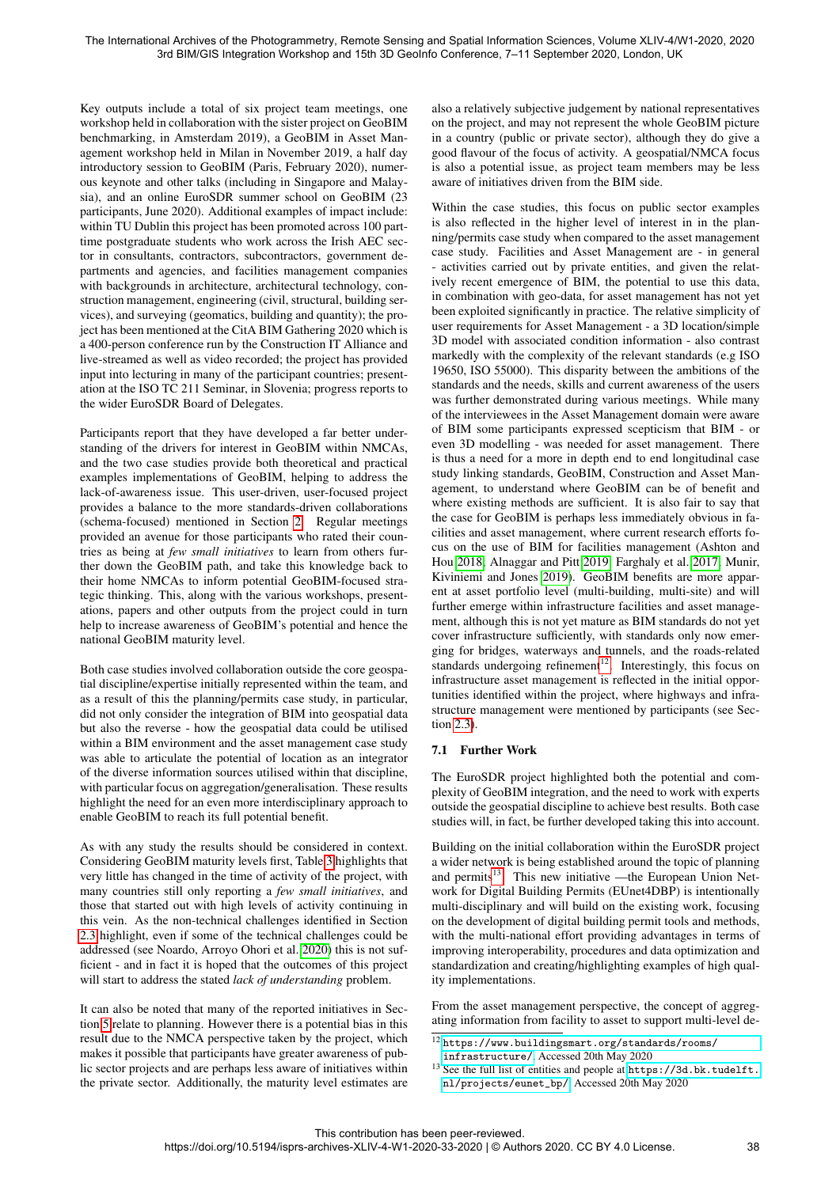Key outputs include a total of six project team meetings, one workshop held in collaboration with the sister project on GeoBIM benchmarking, in Amsterdam 2019), a GeoBIM in Asset Management workshop held in Milan in November 2019, a half day introductory session to GeoBIM (Paris, February 2020), numerous keynote and other talks (including in Singapore and Malaysia), and an online EuroSDR summer school on GeoBIM (23 participants, June 2020). Additional examples of impact include: within TU Dublin this project has been promoted across 100 parttime postgraduate students who work across the Irish AEC sector in consultants, contractors, subcontractors, government departments and agencies, and facilities management companies with backgrounds in architecture, architectural technology, construction management, engineering (civil, structural, building services), and surveying (geomatics, building and quantity); the project has been mentioned at the CitA BIM Gathering 2020 which is a 400-person conference run by the Construction IT Alliance and live-streamed as well as video recorded; the project has provided input into lecturing in many of the participant countries; presentation at the ISO TC 211 Seminar, in Slovenia; progress reports to the wider EuroSDR Board of Delegates.

Participants report that they have developed a far better understanding of the drivers for interest in GeoBIM within NMCAs, and the two case studies provide both theoretical and practical examples implementations of GeoBIM, helping to address the lack-of-awareness issue. This user-driven, user-focused project provides a balance to the more standards-driven collaborations (schema-focused) mentioned in Section [2.](#page-1-1) Regular meetings provided an avenue for those participants who rated their countries as being at *few small initiatives* to learn from others further down the GeoBIM path, and take this knowledge back to their home NMCAs to inform potential GeoBIM-focused strategic thinking. This, along with the various workshops, presentations, papers and other outputs from the project could in turn help to increase awareness of GeoBIM's potential and hence the national GeoBIM maturity level.

Both case studies involved collaboration outside the core geospatial discipline/expertise initially represented within the team, and as a result of this the planning/permits case study, in particular, did not only consider the integration of BIM into geospatial data but also the reverse - how the geospatial data could be utilised within a BIM environment and the asset management case study was able to articulate the potential of location as an integrator of the diverse information sources utilised within that discipline, with particular focus on aggregation/generalisation. These results highlight the need for an even more interdisciplinary approach to enable GeoBIM to reach its full potential benefit.

As with any study the results should be considered in context. Considering GeoBIM maturity levels first, Table [3](#page-2-1) highlights that very little has changed in the time of activity of the project, with many countries still only reporting a *few small initiatives*, and those that started out with high levels of activity continuing in this vein. As the non-technical challenges identified in Section [2.3](#page-1-4) highlight, even if some of the technical challenges could be addressed (see Noardo, Arroyo Ohori et al. [2020\)](#page-6-7) this is not sufficient - and in fact it is hoped that the outcomes of this project will start to address the stated *lack of understanding* problem.

It can also be noted that many of the reported initiatives in Section [5](#page-2-2) relate to planning. However there is a potential bias in this result due to the NMCA perspective taken by the project, which makes it possible that participants have greater awareness of public sector projects and are perhaps less aware of initiatives within the private sector. Additionally, the maturity level estimates are also a relatively subjective judgement by national representatives on the project, and may not represent the whole GeoBIM picture in a country (public or private sector), although they do give a good flavour of the focus of activity. A geospatial/NMCA focus is also a potential issue, as project team members may be less aware of initiatives driven from the BIM side.

Within the case studies, this focus on public sector examples is also reflected in the higher level of interest in in the planning/permits case study when compared to the asset management case study. Facilities and Asset Management are - in general - activities carried out by private entities, and given the relatively recent emergence of BIM, the potential to use this data, in combination with geo-data, for asset management has not yet been exploited significantly in practice. The relative simplicity of user requirements for Asset Management - a 3D location/simple 3D model with associated condition information - also contrast markedly with the complexity of the relevant standards (e.g ISO 19650, ISO 55000). This disparity between the ambitions of the standards and the needs, skills and current awareness of the users was further demonstrated during various meetings. While many of the interviewees in the Asset Management domain were aware of BIM some participants expressed scepticism that BIM - or even 3D modelling - was needed for asset management. There is thus a need for a more in depth end to end longitudinal case study linking standards, GeoBIM, Construction and Asset Management, to understand where GeoBIM can be of benefit and where existing methods are sufficient. It is also fair to say that the case for GeoBIM is perhaps less immediately obvious in facilities and asset management, where current research efforts focus on the use of BIM for facilities management (Ashton and Hou [2018;](#page-6-11) Alnaggar and Pitt [2019;](#page-6-12) Farghaly et al. [2017;](#page-6-13) Munir, Kiviniemi and Jones [2019\)](#page-6-14). GeoBIM benefits are more apparent at asset portfolio level (multi-building, multi-site) and will further emerge within infrastructure facilities and asset management, although this is not yet mature as BIM standards do not yet cover infrastructure sufficiently, with standards only now emerging for bridges, waterways and tunnels, and the roads-related standards undergoing refinement<sup>[12](#page-5-0)</sup>. Interestingly, this focus on infrastructure asset management is reflected in the initial opportunities identified within the project, where highways and infrastructure management were mentioned by participants (see Section [2.3\)](#page-1-4).

## 7.1 Further Work

The EuroSDR project highlighted both the potential and complexity of GeoBIM integration, and the need to work with experts outside the geospatial discipline to achieve best results. Both case studies will, in fact, be further developed taking this into account.

Building on the initial collaboration within the EuroSDR project a wider network is being established around the topic of planning and permits<sup>[13](#page-5-1)</sup>. This new initiative —the European Union Network for Digital Building Permits (EUnet4DBP) is intentionally multi-disciplinary and will build on the existing work, focusing on the development of digital building permit tools and methods, with the multi-national effort providing advantages in terms of improving interoperability, procedures and data optimization and standardization and creating/highlighting examples of high quality implementations.

From the asset management perspective, the concept of aggregating information from facility to asset to support multi-level de-

<span id="page-5-0"></span> $^{12}\,$  [https://www.buildingsmart.org/standards/rooms/](https://www.buildingsmart.org/standards/rooms/infrastructure/) [infrastructure/](https://www.buildingsmart.org/standards/rooms/infrastructure/), Accessed 20th May 2020

<span id="page-5-1"></span> $^{13}$  See the full list of entities and people at  $\verb|https://3d.bk.tudeIf|.$ [nl/projects/eunet\\_bp/](https://3d.bk.tudelft.nl/projects/eunet_bp/), Accessed 20th May 2020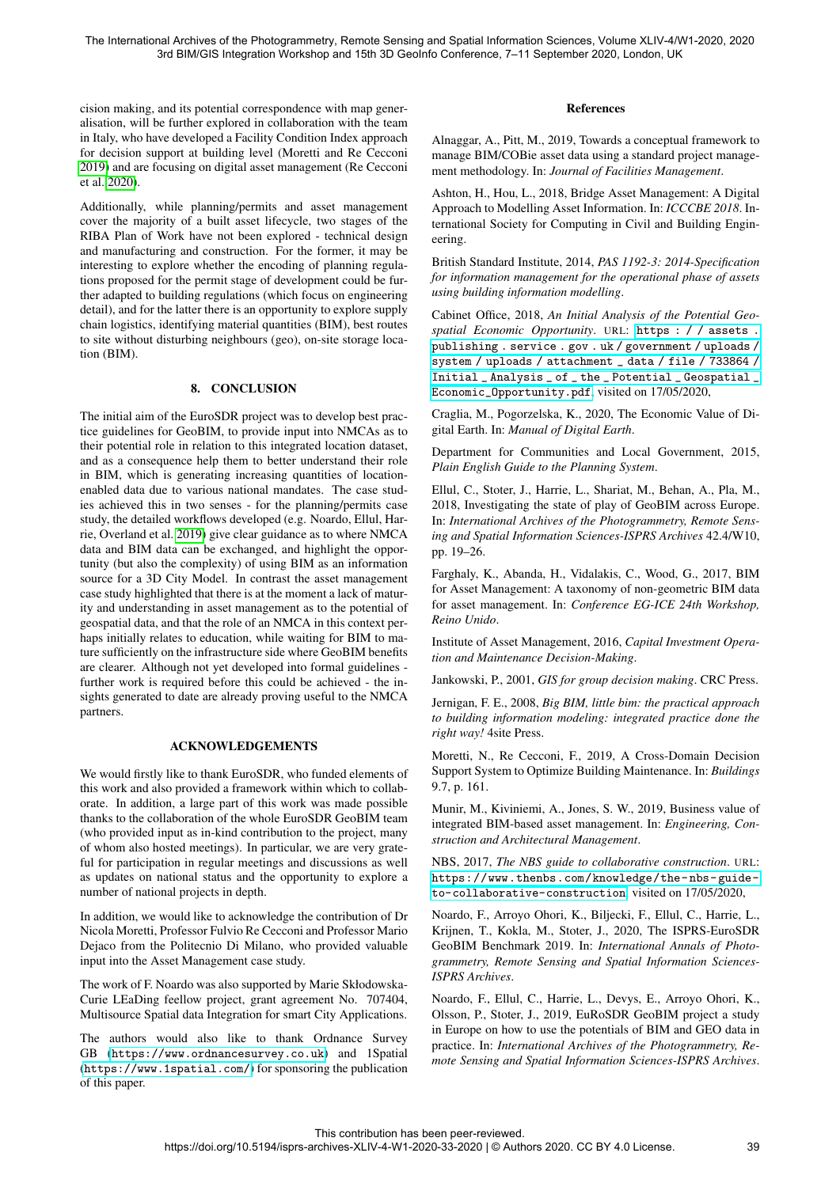cision making, and its potential correspondence with map generalisation, will be further explored in collaboration with the team in Italy, who have developed a Facility Condition Index approach for decision support at building level (Moretti and Re Cecconi [2019\)](#page-6-15) and are focusing on digital asset management (Re Cecconi et al. [2020\)](#page-7-5).

Additionally, while planning/permits and asset management cover the majority of a built asset lifecycle, two stages of the RIBA Plan of Work have not been explored - technical design and manufacturing and construction. For the former, it may be interesting to explore whether the encoding of planning regulations proposed for the permit stage of development could be further adapted to building regulations (which focus on engineering detail), and for the latter there is an opportunity to explore supply chain logistics, identifying material quantities (BIM), best routes to site without disturbing neighbours (geo), on-site storage location (BIM).

### 8. CONCLUSION

The initial aim of the EuroSDR project was to develop best practice guidelines for GeoBIM, to provide input into NMCAs as to their potential role in relation to this integrated location dataset, and as a consequence help them to better understand their role in BIM, which is generating increasing quantities of locationenabled data due to various national mandates. The case studies achieved this in two senses - for the planning/permits case study, the detailed workflows developed (e.g. Noardo, Ellul, Harrie, Overland et al. [2019\)](#page-7-2) give clear guidance as to where NMCA data and BIM data can be exchanged, and highlight the opportunity (but also the complexity) of using BIM as an information source for a 3D City Model. In contrast the asset management case study highlighted that there is at the moment a lack of maturity and understanding in asset management as to the potential of geospatial data, and that the role of an NMCA in this context perhaps initially relates to education, while waiting for BIM to mature sufficiently on the infrastructure side where GeoBIM benefits are clearer. Although not yet developed into formal guidelines further work is required before this could be achieved - the insights generated to date are already proving useful to the NMCA partners.

### ACKNOWLEDGEMENTS

We would firstly like to thank EuroSDR, who funded elements of this work and also provided a framework within which to collaborate. In addition, a large part of this work was made possible thanks to the collaboration of the whole EuroSDR GeoBIM team (who provided input as in-kind contribution to the project, many of whom also hosted meetings). In particular, we are very grateful for participation in regular meetings and discussions as well as updates on national status and the opportunity to explore a number of national projects in depth.

In addition, we would like to acknowledge the contribution of Dr Nicola Moretti, Professor Fulvio Re Cecconi and Professor Mario Dejaco from the Politecnio Di Milano, who provided valuable input into the Asset Management case study.

The work of F. Noardo was also supported by Marie Skłodowska-Curie LEaDing feellow project, grant agreement No. 707404, Multisource Spatial data Integration for smart City Applications.

The authors would also like to thank Ordnance Survey GB (<https://www.ordnancesurvey.co.uk>) and 1Spatial (<https://www.1spatial.com/>) for sponsoring the publication of this paper.

### References

<span id="page-6-12"></span>Alnaggar, A., Pitt, M., 2019, Towards a conceptual framework to manage BIM/COBie asset data using a standard project management methodology. In: *Journal of Facilities Management*.

<span id="page-6-11"></span>Ashton, H., Hou, L., 2018, Bridge Asset Management: A Digital Approach to Modelling Asset Information. In: *ICCCBE 2018*. International Society for Computing in Civil and Building Engineering.

<span id="page-6-9"></span>British Standard Institute, 2014, *PAS 1192-3: 2014-Specification for information management for the operational phase of assets using building information modelling*.

<span id="page-6-1"></span>Cabinet Office, 2018, *An Initial Analysis of the Potential Geospatial Economic Opportunity*. URL: [https : / / assets .](https://assets.publishing.service.gov.uk/government/uploads/system/uploads/attachment_data/file/733864/Initial_Analysis_of_the_Potential_Geospatial_Economic_Opportunity.pdf) [publishing . service . gov . uk / government / uploads /](https://assets.publishing.service.gov.uk/government/uploads/system/uploads/attachment_data/file/733864/Initial_Analysis_of_the_Potential_Geospatial_Economic_Opportunity.pdf) [system / uploads / attachment \\_ data / file / 733864 /](https://assets.publishing.service.gov.uk/government/uploads/system/uploads/attachment_data/file/733864/Initial_Analysis_of_the_Potential_Geospatial_Economic_Opportunity.pdf) [Initial \\_ Analysis \\_ of \\_ the \\_ Potential \\_ Geospatial \\_](https://assets.publishing.service.gov.uk/government/uploads/system/uploads/attachment_data/file/733864/Initial_Analysis_of_the_Potential_Geospatial_Economic_Opportunity.pdf) [Economic\\_Opportunity.pdf](https://assets.publishing.service.gov.uk/government/uploads/system/uploads/attachment_data/file/733864/Initial_Analysis_of_the_Potential_Geospatial_Economic_Opportunity.pdf), visited on 17/05/2020,

<span id="page-6-2"></span>Craglia, M., Pogorzelska, K., 2020, The Economic Value of Digital Earth. In: *Manual of Digital Earth*.

<span id="page-6-8"></span>Department for Communities and Local Government, 2015, *Plain English Guide to the Planning System*.

<span id="page-6-6"></span>Ellul, C., Stoter, J., Harrie, L., Shariat, M., Behan, A., Pla, M., 2018, Investigating the state of play of GeoBIM across Europe. In: *International Archives of the Photogrammetry, Remote Sensing and Spatial Information Sciences-ISPRS Archives* 42.4/W10, pp. 19–26.

<span id="page-6-13"></span>Farghaly, K., Abanda, H., Vidalakis, C., Wood, G., 2017, BIM for Asset Management: A taxonomy of non-geometric BIM data for asset management. In: *Conference EG-ICE 24th Workshop, Reino Unido*.

<span id="page-6-10"></span>Institute of Asset Management, 2016, *Capital Investment Operation and Maintenance Decision-Making*.

<span id="page-6-0"></span>Jankowski, P., 2001, *GIS for group decision making*. CRC Press.

<span id="page-6-4"></span>Jernigan, F. E., 2008, *Big BIM, little bim: the practical approach to building information modeling: integrated practice done the right way!* 4site Press.

<span id="page-6-15"></span>Moretti, N., Re Cecconi, F., 2019, A Cross-Domain Decision Support System to Optimize Building Maintenance. In: *Buildings* 9.7, p. 161.

<span id="page-6-14"></span>Munir, M., Kiviniemi, A., Jones, S. W., 2019, Business value of integrated BIM-based asset management. In: *Engineering, Construction and Architectural Management*.

<span id="page-6-3"></span>NBS, 2017, *The NBS guide to collaborative construction*. URL: [https://www.thenbs.com/knowledge/the- nbs- guide](https://www.thenbs.com/knowledge/the-nbs-guide-to-collaborative-construction)[to-collaborative-construction](https://www.thenbs.com/knowledge/the-nbs-guide-to-collaborative-construction), visited on 17/05/2020,

<span id="page-6-7"></span>Noardo, F., Arroyo Ohori, K., Biljecki, F., Ellul, C., Harrie, L., Krijnen, T., Kokla, M., Stoter, J., 2020, The ISPRS-EuroSDR GeoBIM Benchmark 2019. In: *International Annals of Photogrammetry, Remote Sensing and Spatial Information Sciences-ISPRS Archives*.

<span id="page-6-5"></span>Noardo, F., Ellul, C., Harrie, L., Devys, E., Arroyo Ohori, K., Olsson, P., Stoter, J., 2019, EuRoSDR GeoBIM project a study in Europe on how to use the potentials of BIM and GEO data in practice. In: *International Archives of the Photogrammetry, Remote Sensing and Spatial Information Sciences-ISPRS Archives*.